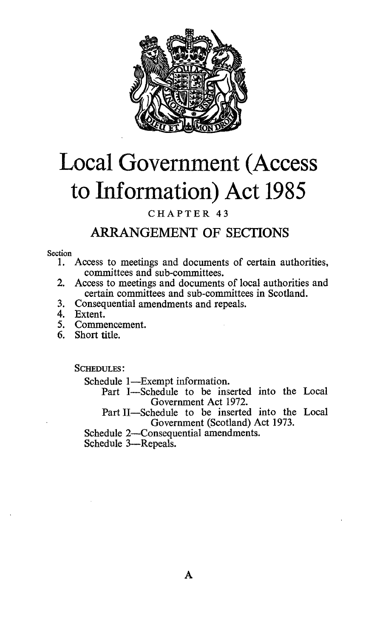

# Local Government (Access to Information) Act 1985

# CHAPTER 43

# ARRANGEMENT OF SECTIONS

#### Section

- 1. Access to meetings and documents of certain authorities, committees and sub-committees.
- 2. Access to meetings and documents of local authorities and certain committees and sub-committees in Scotland.
- 3. Consequential amendments and repeals.
- 4. Extent.<br>5. Comme
- 5. Commencement.<br>6. Short title.
- Short title.

SCHEDULES :

Schedule 1-Exempt information.

Part I-Schedule to be inserted into the Local Government Act 1972.

Part II-Schedule to be inserted into the Local Government (Scotland) Act 1973.

Schedule 2-Consequential amendments.

Schedule 3-Repeals.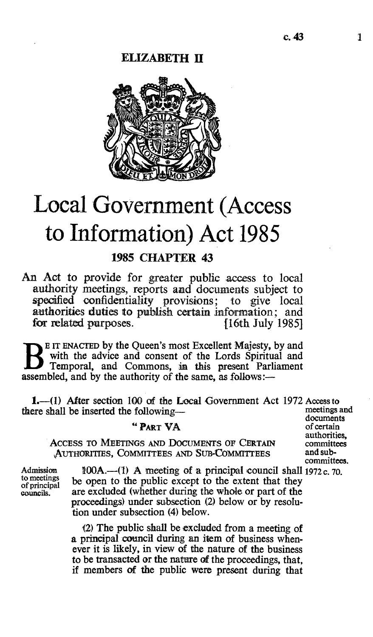# ELIZABETH II



# Local Government (Access to Information) Act 1985

# 1985 CHAPTER 43

An Act to provide for greater public access to local authority meetings, reports and documents subject to specified confidentiality provisions; to give local authorities duties to publish certain information; and for related purposes. [16th July 1985]

B E IT ENACTED by the Queen's most Excellent Majesty, by and<br>with the advice and consent of the Lords Spiritual and<br>Temporal and Commons in this present Berliament Temporal, and Commons, in this present Parliament assembled, and by the authority of the same, as follows:—

1.—(1) After section 100 of the Local Government Act 1972 Access to meetings and  $\frac{1}{2}$ there shall be inserted the following-

### " PART VA

ACCESS TO MEETINGS AND DOCUMENTS OF CERTAIN committees and sub-<br>AUTHORITIES. COMMITTEES AND SUB-COMMITTEES and sub-AUTHORITIES, COMMITTEES AND SUB-COMMITTEES

documents<br>of certain authorities, committees.

Admission  $100A$ .—(1) A meeting of a principal council shall 1972 c. 70.<br>to meetings be open to the public except to the extent that they to meetings<br>of principal be open to the public except to the extent that they<br>councils. are excluded (whether during the whole or part of the are excluded (whether during the whole or part of the proceedings) under subsection (2) below or by resolution under subsection (4) below.

> (2) The public shall be excluded from a meeting of a principal council during an item of business whenever it is likely, in view of the nature of the business to be transacted or the nature of the proceedings, that, if members of the public were present during that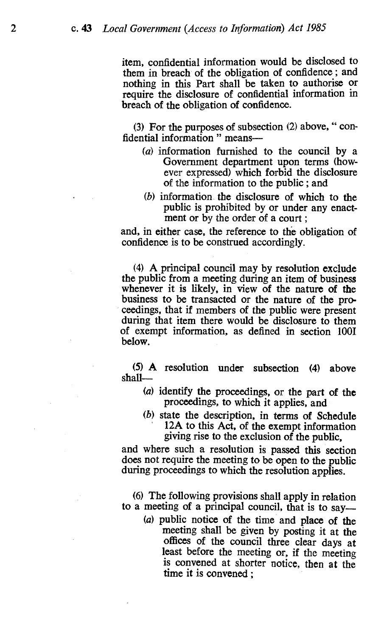item, confidential information would be disclosed to them in breach of the obligation of confidence ; and nothing in this Part shall be taken to authorise or require the disclosure of confidential information in breach of the obligation of confidence.

(3) For the purposes of subsection (2) above, " confidential information " means-

- (a) information furnished to the council by a Government department upon terms (however expressed) which forbid the disclosure of the information to the public ; and
- (b) information the disclosure of which to the public is prohibited by or under any enactment or by the order of a court ;

and, in either case, the reference to the obligation of confidence is to be construed accordingly.

(4) A principal council may by resolution exclude the public from a meeting during an item of business whenever it is likely, in view of the nature of the business to be transacted or the nature of the proceedings, that if members of the public were present during that item there would be disclosure to them of exempt information, as defined in section 1001 below.

(5) A resolution under subsection (4) above shall-

- (a) identify the proceedings, or the part of the proceedings, to which it applies, and
- (b) state the description, in terms of Schedule 12A to this Act, of the exempt information giving rise to the exclusion of the public,

and where such a resolution is passed this section does not require the meeting to be open to the public during proceedings to which the resolution applies.

(6) The following provisions shall apply in relation to a meeting of a principal council, that is to say-

(a) public notice of the time and place of the meeting shall be given by posting it at the offices of the council three clear days at least before the meeting or, if the meeting is convened at shorter notice, then at the time it is convened ;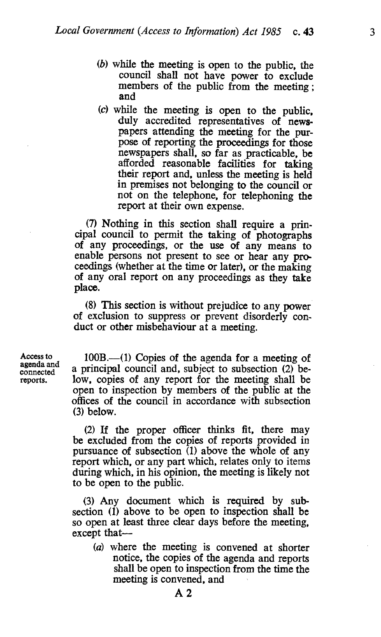- (b) while the meeting is open to the public, the council shall not have power to exclude members of the public from the meeting ; and
- (c) while the meeting is open to the public, duly accredited representatives of newspapers attending the meeting for the purpose of reporting the proceedings for those newspapers shall, so far as practicable, be afforded reasonable facilities for taking their report and, unless the meeting is held in premises not belonging to the council or not on the telephone, for telephoning the report at their own expense.

(7) Nothing in this section shall require a prin- cipal council to permit the taking of photographs of any proceedings, or the use of any means to enable persons not present to see or hear any proceedings (whether at the time or later), or the making of any oral report on any proceedings as they take place.

(8) This section is without prejudice to any power of exclusion to suppress or prevent disorderly conduct or other misbehaviour at a meeting.

Access to agenda and connected reports.

 $100B$ .—(1) Copies of the agenda for a meeting of a principal council and, subject to subsection (2) below, copies of any report for the meeting shall be open to inspection by members of the public at the offices of the council in accordance with subsection (3) below.

(2) If the proper officer thinks fit, there may be excluded from the copies of reports provided in pursuance of subsection  $(1)$  above the whole of any report which, or any part which, relates only to items during which, in his opinion, the meeting is likely not to be open to the public.

(3) Any document which is required by subsection (1) above to be open to inspection shall be so open at least three clear days before the meeting. except that

(a) where the meeting is convened at shorter notice, the copies of the agenda and reports shall be open to inspection from the time the meeting is convened, and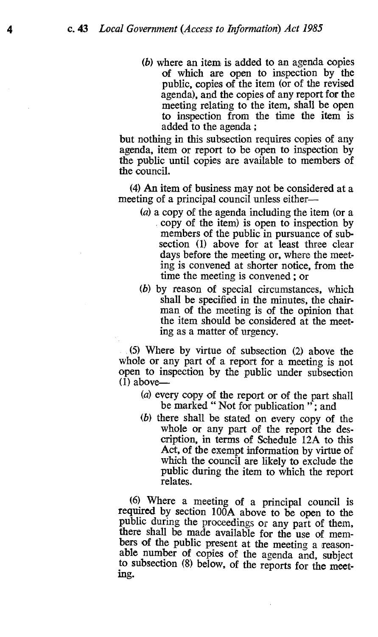(b) where an item is added to an agenda copies of which are open to inspection by the public, copies of the item (or of the revised agenda), and the copies of any report for the meeting relating to the item, shall be open to inspection from the time the item is added to the agenda ;

but nothing in this subsection requires copies of any agenda, item or report to be open to inspection by the public until copies are available to members of the council.

(4) An item of business may not be considered at a meeting of a principal council unless either-

- (a) a copy of the agenda including the item (or a copy of the item) is open to inspection by members of the public in pursuance of subsection (1) above for at least three clear days before the meeting or, where the meeting is convened at shorter notice, from the time the meeting is convened ; or
- (b) by reason of special circumstances, which shall be specified in the minutes, the chairman of the meeting is of the opinion that the item should be considered at the meeting as a matter of urgency.

(5) Where by virtue of subsection (2) above the whole or any part of a report for a meeting is not open to inspection by the public under subsection  $(I)$  above-

- (a) every copy of the report or of the part shall be marked "Not for publication"; and
- (b) there shall be stated on every copy of the whole or any part of the report the description, in terms of Schedule 12A to this Act, of the exempt information by virtue of which the council are likely to exclude the public during the item to which the report relates.

(6) Where a meeting of a principal council is required by section 100A above to be open to the public during the proceedings or any part of them, there shall be made available for the use of members of the public present at the meeting a reason-<br>able number of copies of the agenda and, subject to subsection (8) below, of the reports for the meeting.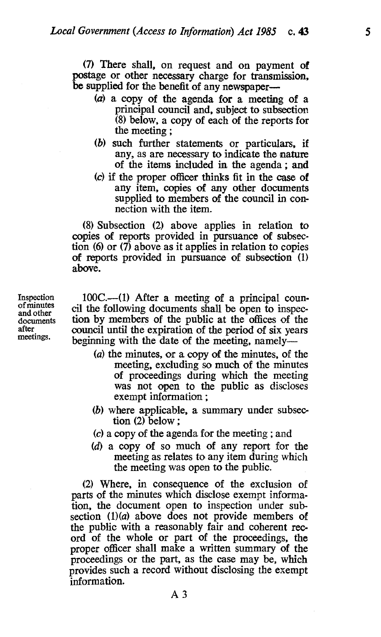(7) There shall, on request and on payment of postage or other necessary charge for transmission, be supplied for the benefit of any newspaper—

- (a) a copy of the agenda for a meeting of a principal council and, subject to subsection (8) below, a copy of each of the reports for the meeting ;
- (b) such further statements or particulars, if any, as are necessary to indicate the nature of the items included in the agenda ; and
- (c) if the proper officer thinks fit in the case of any item, copies of any other documents supplied to members of the council in connection with the item.

(8) Subsection (2) above applies in relation to copies of reports provided in pursuance of subsection (6) or  $(7)$  above as it applies in relation to copies of reports provided in pursuance of subsection (1) above.

Inspection of minutes and other documents after meetings.

 $100C$ .—(1) After a meeting of a principal council the following documents shall be open to inspection by members of the public at the offices of the council until the expiration of the period of six years beginning with the date of the meeting, namely-

- (a) the minutes, or a copy of the minutes, of the meeting, excluding so much of the minutes of proceedings during which the meeting was not open to the public as discloses exempt information ;
- (b) where applicable, a summary under subsection (2) below ;
- (c) a copy of the agenda for the meeting ; and
- (d) a copy of so much of any report for the meeting as relates to any item during which the meeting was open to the public.

(2) Where, in consequence of the exclusion of parts of the minutes which disclose exempt information, the document open to inspection under subsection  $(1)(a)$  above does not provide members of the public with a reasonably fair and coherent record of the whole or part of the proceedings, the proper officer shall make a written summary of the proceedings or the part, as the case may be, which provides such a record without disclosing the exempt information.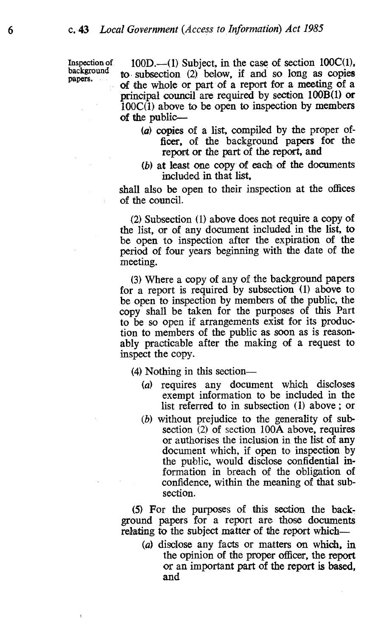Inspection of background papers.

 $100D$ .—(1) Subject, in the case of section  $100C(1)$ , to subsection  $(2)$  below, if and so long as copies of the whole or part of a report for a meeting of a principal council are required by section 100B(1) or  $100C(1)$  above to be open to inspection by members of the public-

- (a) copies of a list, compiled by the proper officer, of the background papers for the report or the part of the report, and
- (b) at least one copy of each of the documents included in that list,

shall also be open to their inspection at the offices of the council.

(2) Subsection (1) above does not require a copy of the list, or of any document included in the list, to be open to inspection after the expiration of the period of four years beginning with the date of the meeting.

(3) Where a copy of any of the background papers for a report is required by subsection (1) above to be open to inspection by members of the public, the copy shall be taken for the purposes of this Part to be so open if arrangements exist for its production to members of the public as soon as is reasonably practicable after the making of a request to inspect the copy.

(4) Nothing in this section-

- (a) requires any document which discloses exempt information to be included in the list referred to in subsection (1) above ; or
- (b) without prejudice to the generality of subsection  $(2)$  of section 100A above, requires or authorises the inclusion in the list of any document which, if open to inspection by the public, would disclose confidential information in breach of the obligation of confidence, within the meaning of that subsection.

(5) For the purposes of this section the background papers for a report are those documents relating to the subject matter of the report which-

(a) disclose any facts or matters on which, in the opinion of the proper officer, the report or an important part of the report is based, and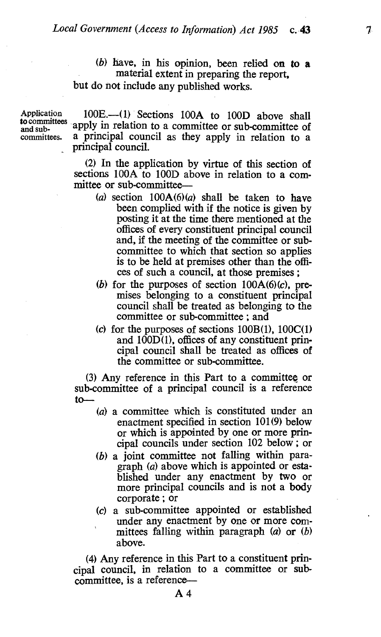7

(b) have, in his opinion, been relied on to a material extent in preparing the report, but do not include any published works.

Application committees.

to committees and sub-apply in relation to a committee or sub-committee of 100E.--(1) Sections 100A to 100D above shall a principal council as they apply in relation to a principal council.

> (2) In the application by virtue of this section of sections 100A to 100D above in relation to a committee or sub-committee—

- (a) section  $100A(6)(a)$  shall be taken to have been complied with if the notice is given by posting it at the time there mentioned at the offices of every constituent principal council and, if the meeting of the committee or subcommittee to which that section so applies is to be held at premises other than the offices of such a council, at those premises ;
- (b) for the purposes of section  $100A(6)(c)$ , premises belonging to a constituent principal council shall be treated as belonging to the committee or sub-committee ; and
- (c) for the purposes of sections  $100B(1)$ ,  $100C(1)$ and  $100D(1)$ , offices of any constituent principal council shall be treated as offices of the committee or sub-committee.

 $(3)$  Any reference in this Part to a committee or sub-committee of a principal council is a reference to

- (a) a committee which is constituted under an enactment specified in section 101(9) below or which is appointed by one or more principal councils under section 102 below ; or
- (b) a joint committee not falling within paragraph (a) above which is appointed or established under any enactment by two or more principal councils and is not a body corporate ; or
- (c) a sub-committee appointed or established under any enactment by one or more committees falling within paragraph  $(a)$  or  $(b)$ above.

(4) Any reference in this Part to a constituent principal council, in relation to a committee or subcommittee, is a reference-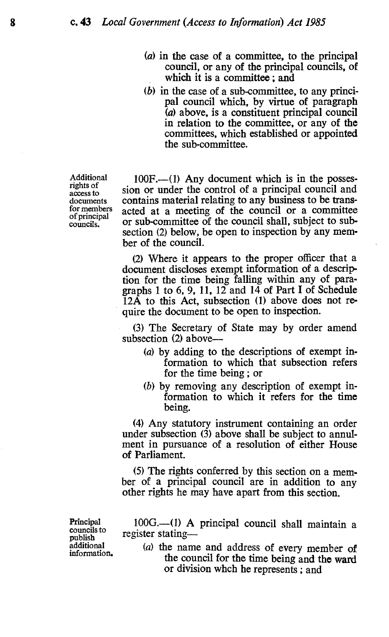- (a) in the case of a committee, to the principal council, or any of the principal councils, of which it is a committee ; and
- (b) in the case of a sub-committee, to any principal council which, by virtue of paragraph  $(a)$  above, is a constituent principal council in relation to the committee, or any of the committees, which established or appointed the sub-committee.

Additional rights of access to documents for members of principal councils.

100F.--(1) Any document which is in the possession or under the control of a principal council and contains material relating to any business to be transacted at a meeting of the council or a committee or sub-committee of the council shall, subject to subsection (2) below, be open to inspection by any member of the council.

(2) Where it appears to the proper officer that a document discloses exempt information of a description for the time being falling within any of paragraphs 1 to 6, 9, 11, 12 and 14 of Part I of Schedule  $12\overline{A}$  to this Act, subsection (1) above does not require the document to be open to inspection.

(3) The Secretary of State may by order amend subsection (2) above—

- (a) by adding to the descriptions of exempt information to which that subsection refers for the time being ; or
- (b) by removing any description of exempt information to which it refers for the time being.

(4) Any statutory instrument containing an order under subsection (3) above shall be subject to annulment in pursuance of a resolution of either House of Parliament.

(5) The rights conferred by this section on a member of a principal council are in addition to any other rights he may have apart from this section.

Principal councils to publish additional information.

100G.-(1) A principal council shall maintain a register stating-

(a) the name and address of every member of the council for the time being and the ward or division whch he represents ; and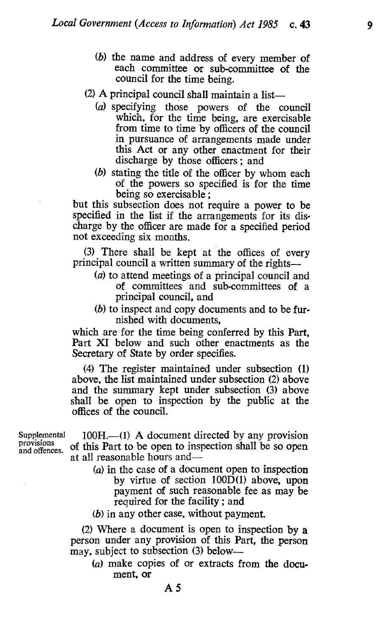- (b) the name and address of every member of each committee or sub-committee of the council for the time being.
- $(2)$  A principal council shall maintain a list--
	- (a) specifying those powers of the council which, for the time being, are exercisable from time to time by officers of the council in pursuance of arrangements made under this Act or any other enactment for their discharge by those officers ; and
	- (b) stating the title of the officer by whom each of the powers so specified is for the time being so exercisable ;

but this subsection does not require a power to be specified in the list if the arrangements for its discharge by the officer are made for a specified period not exceeding six months.

(3) There shall be kept at the offices of every principal council a written summary of the rights-

- (a) to attend meetings of a principal council and of committees and sub-committees of a principal council, and
- (b) to inspect and copy documents and to be furnished with documents,

which are for the time being conferred by this Part, Part XI below and such other enactments as the Secretary of State by order specifies.

(4) The register maintained under subsection (1) above, the list maintained under subsection (2) above and the summary kept under subsection (3) above shall be open to inspection by the public at the offices of the council.

 $100H$ .—(1) A document directed by any provision of this Part to be open to inspection shall be so open at all reasonable hours and-

> (a) in the case of a document open to inspection by virtue of section 100D(1) above, upon payment of such reasonable fee as may be required for the facility ; and

(b) in any other case, without payment.

A5

(2) Where a document is open to inspection by a person under any provision of this Part, the person may, subject to subsection (3) below—

(a) make copies of or extracts from the document, or

Supplemental<br>provisions and offences.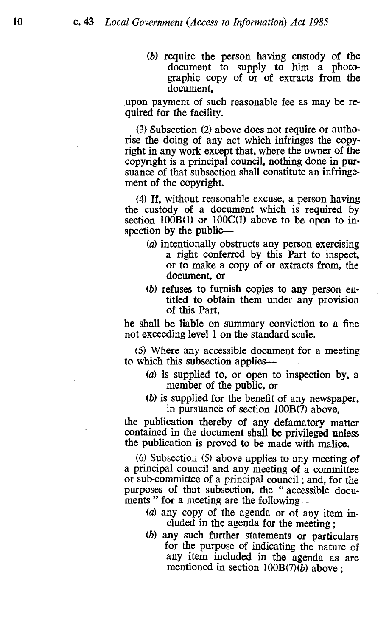(b) require the person having custody of the document to supply to him a photographic copy of or of extracts from the document,

upon payment of such reasonable fee as may be required for the facility.

(3) Subsection (2) above does not require or authorise the doing of any act which infringes the copyright in any work except that, where the owner of the copyright is a principal council, nothing done in pursuance of that subsection shall constitute an infringement of the copyright.

(4) If, without reasonable excuse, a person having the custody of a document which is required by section  $100B(1)$  or  $100C(1)$  above to be open to inspection by the public-

- (a) intentionally obstructs any person exercising a right conferred by this Part to inspect, or to make a copy of or extracts from, the document, or
- (b) refuses to furnish copies to any person entitled to obtain them under any provision of this Part,

he shall be liable on summary conviction to a fine not exceeding level 1 on the standard scale.

(5) Where any accessible document for a meeting to which this subsection applies-

- (a) is supplied to, or open to inspection by, a member of the public, or
- (b) is supplied for the benefit of any newspaper, in pursuance of section 100B(7) above,

the publication thereby of any defamatory matter contained in the document shall be privileged unless the publication is proved to be made with malice.

(6) Subsection (5) above applies to any meeting of a principal council and any meeting of a committee or sub-committee of a principal council ; and, for the purposes of that subsection, the " accessible documents " for a meeting are the following—

- (a) any copy of the agenda or of any item included in the agenda for the meeting ;
- (b) any such further statements or particulars for the purpose of indicating the nature of any item included in the agenda as are mentioned in section 100B(7)(b) above ;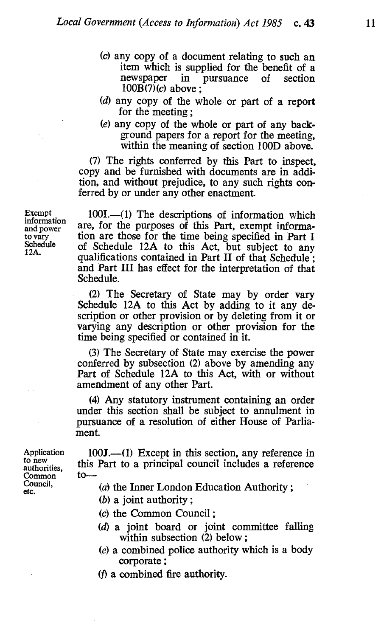- (c) any copy of a document, relating to such an item which is supplied for the benefit of a<br>newspaper in pursuance of section newspaper in pursuance of section 100B(7)(c) above ;
- (d) any copy of the whole or part of a report for the meeting;
- (e) any copy of the whole or part of any background papers for a report for the meeting, within the meaning of section 100D above.

(7) The rights conferred by this Part to inspect, copy and be furnished with documents are in addition, and without prejudice, to any such rights conferred by or under any other enactment.

 $100I.$ — $(1)$  The descriptions of information which are, for the purposes of this Part, exempt information are those for the time being specified in Part I of Schedule 12A to this Act, but subject to any qualifications contained in Part II of that Schedule ; and Part III has effect for the interpretation of that Schedule.

(2) The Secretary of State may by order vary Schedule 12A to this Act by adding to it any description or other provision or by deleting from it or varying any description or other provision for the time being specified or contained in it.

(3) The Secretary of State may exercise the power conferred by subsection (2) above by amending any Part of Schedule 12A to this Act, with or without amendment of any other Part.

(4) Any statutory instrument containing an order under this section shall be subject to annulment in pursuance of a resolution of either House of Parliament.

Application to new<br>authorities, this<br>Common to Common Council, etc.

Exempt information and power to vary Schedule 12A.

> 100J.--(1) Except in this section, any reference in this Part to a principal council includes a reference

- $(a)$  the Inner London Education Authority;
- (b) a joint authority ;
- (c) the Common Council ;
- $(d)$  a joint board or joint committee falling within subsection (2) below;
- (e) a combined police authority which is a body corporate ;
- (f) a combined fire authority.

11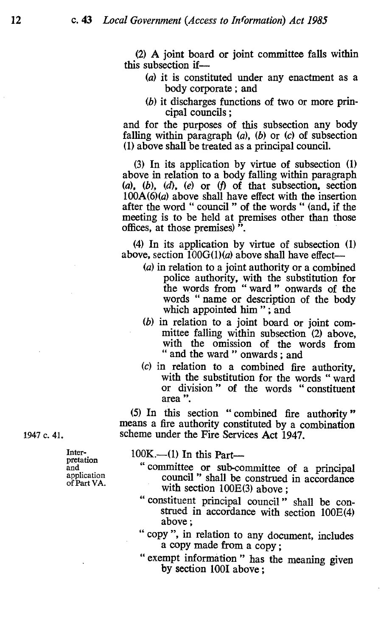(2) A joint board or joint committee falls within this subsection if-

- (a) it is constituted under any enactment as <sup>a</sup> body corporate ; and
- (b) it discharges functions of two or more principal councils ;

and for the purposes of this subsection any body falling within paragraph  $(a)$ ,  $(b)$  or  $(c)$  of subsection (1) above shall be treated as a principal council.

(3) In its application by virtue of subsection (1) above in relation to a body falling within paragraph (a), (b), (d), (e) or  $(f)$  of that subsection, section  $100A(6)(a)$  above shall have effect with the insertion after the word " council " of the words " (and, if the meeting is to be held at premises other than those offices, at those premises) ".

(4) In its application by virtue of subsection (1) above, section  $100G(1)(a)$  above shall have effect--

- (a) in relation to a joint authority or a combined police authority, with the substitution for the words from " ward " onwards of the words " name or description of the body which appointed him"; and
- (b) in relation to a joint board or joint committee falling within subsection (2) above, with the omission of the words from " and the ward " onwards; and
- (c) in relation to a combined fire authority, with the substitution for the words " ward or division " of the words " constituent area ".

(5) In this section " combined fire authority " means a fire authority constituted by a combination scheme under the Fire Services Act 1947.

1947 c. 41.

- 100K.—(1) In this Part—<br>" committee or sub-committee of a principal council " shall be construed in accordance with section 100E(3) above ;
	- " constituent principal council " shall be construed in accordance with section 100E(4) above ;
	- " copy ", in relation to any document, includes a copy made from a copy ;
	- " exempt information " has the meaning given by section 100I above ;

Interpretation and<br>application of Part VA.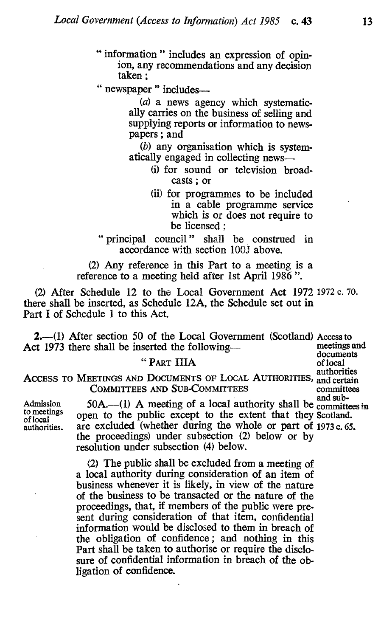- " information " includes an expression of opinion, any recommendations and any decision taken ;
- " newspaper " includes-

(a) a news agency which systematic-<br>ally carries on the business of selling and supplying reports or information to newspapers ; and

 $(b)$  any organisation which is system-<br>atically engaged in collecting news--

- (i) for sound or television broadcasts ; or
- (ii) for programmes to be included in a cable programme service which is or does not require to be licensed ;

" principal council " shall be construed in accordance with section 100J above.

(2) Any reference in this Part to a meeting is a reference to a meeting held after 1st April 1986 ".

(2) After Schedule 12 to the Local Government Act 1972 1972 c. 70. there shall be inserted, as Schedule 12A, the Schedule set out in Part I of Schedule 1 to this Act.

2.-(1) After section 50 of the Local Government (Scotland) Access to<br> $\gamma$  1973 there shall be inserted the following... Act 1973 there shall be inserted the following---

ACCESS TO MEETINGS AND DOCUMENTS OF LOCAL AUTHORITIES, and certain COMMITTEES AND SUB-COMMITTEES committees

Admission  $50A$ .  $-$ (1) A meeting of a local authority shall be committees in to meetings open to the public except to the extent that they Scotland. to meetings open to the public except to the extent that they Scotland.<br>authorities. are excluded (whether during the whole or part of 1973 c. 65 are excluded (whether during the whole or part of 1973 c. 65. the proceedings) under subsection (2) below or by resolution under subsection (4) below.

> (2) The public shall be excluded from a meeting of a local authority during consideration of an item of business whenever it is likely, in view of the nature of the business to be transacted or the nature of the proceedings, that, if members of the public were present during consideration of that item, confidential information would be disclosed to them in breach of the obligation of confidence ; and nothing in this Part shall be taken to authorise or require the disclosure of confidential information in breach of the obligation of confidence.

documents<br>of local " PART IIIA of local of local of local of local of local of local of local of local of local of local of local of  $\overline{a}$ and certain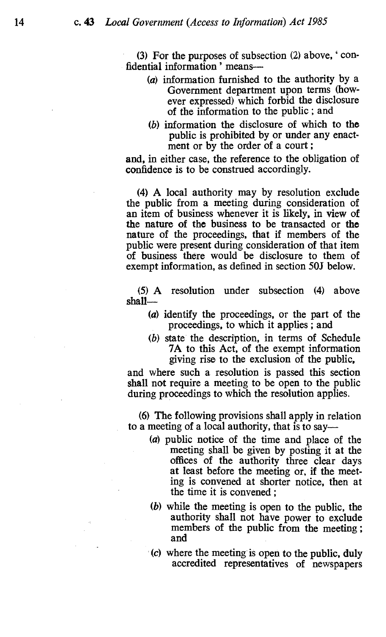(3) For the purposes of subsection (2) above, ' confidential information' means-

- (a) information furnished to the authority by a Government department upon terms (however expressed) which forbid the disclosure of the information to the public ; and
- (b) information the disclosure of which to the public is prohibited by or under any enactment or by the order of a court;

and, in either case, the reference to the obligation of confidence is to be construed accordingly.

(4) A local authority may by resolution exclude the public from a meeting during consideration of an item of business whenever it is likely, in view of the nature of the business to be transacted or the nature of the proceedings, that if members of the public were present during consideration of that item of business there would be disclosure to them of exempt information, as defined in section 50J below.

(5) A resolution under subsection (4) above  $shall$ 

- (a) identify the proceedings, or the part of the proceedings, to which it applies ; and
- (b) state the description, in terms of Schedule 7A to this Act, of the exempt information giving rise to the exclusion of the public,

and where such a resolution is passed this section shall not require a meeting to be open to the public during proceedings to which the resolution applies.

(6) The following provisions shall apply in relation to a meeting of a local authority, that is to say-

- (a) public notice of the time and place of the meeting shall be given by posting it at the offices of the authority three clear days at least before the meeting or, if the meeting is convened at shorter notice, then at the time it is convened ;
- (b) while the meeting is open to the public, the authority shall not have power to exclude members of the public from the meeting ; and
- (c) where the meeting is open to the public, duly accredited representatives of newspapers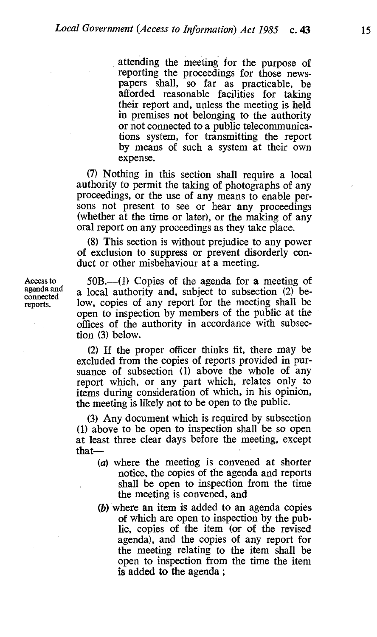attending the meeting for the purpose of reporting the proceedings for those newspapers shall, so far as practicable, be afforded reasonable facilities for taking their report and, unless the meeting is held in premises not belonging to the authority or not connected to a public telecommunications system, for transmitting the report by means of such a system at their own expense.

(7) Nothing in this section shall require a local authority to permit the taking of photographs of any proceedings, or the use of any means to enable persons not present to see or hear any proceedings (whether at the time or later), or the making of any oral report on any proceedings as they take place.

(8) This section is without prejudice to any power of exclusion to suppress or prevent disorderly conduct or other misbehaviour at a meeting.

 $50B$ ,—(1) Copies of the agenda for a meeting of a local authority and, subject to subsection (2) below, copies of any report for the meeting shall be open to inspection by members of the public at the offices of the authority in accordance with subsection (3) below.

(2) If the proper officer thinks fit, there may be excluded from the copies of reports provided in pursuance of subsection (1) above the whole of any report which, or any part which, relates only to items during consideration of which, in his opinion, the meeting is likely not to be open to the public.

(3) Any document which is required by subsection (1) above to be open to inspection shall be so open at least three clear days before the meeting, except that-

- (a) where the meeting is convened at shorter notice, the copies of the agenda and reports shall be open to inspection from the time the meeting is convened, and
- (b) where an item is added to an agenda copies of which are open to inspection by the public, copies of the item (or of the revised agenda), and the copies of any report for the meeting relating to the item shall be open to inspection from the time the item is added to the agenda ;

Access to agenda and connected reports.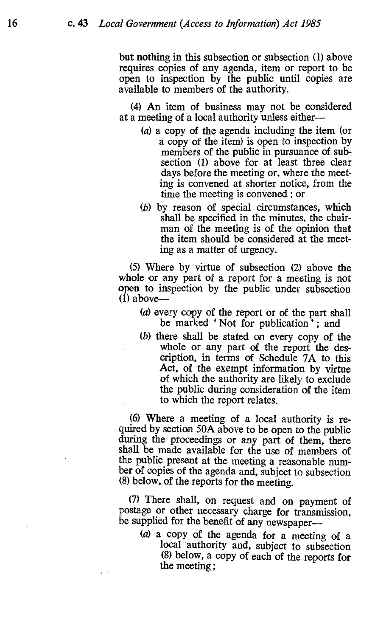but nothing in this subsection or subsection (1) above requires copies of any agenda, item or report to be open to inspection by the public until copies are available to members of the authority.

(4) An item of business may not be considered at a meeting of a local authority unless either-

- (a) a copy of the agenda including the item (or a copy of the item) is open to inspection by members of the public in pursuance of subsection (1) above for at least three clear days before the meeting or, where the meeting is convened at shorter notice, from the time the meeting is convened ; or
- (b) by reason of special circumstances, which shall be specified in the minutes, the chairman of the meeting is of the opinion that the item should be considered at the meeting as a matter of urgency.

(5) Where by virtue of subsection (2) above the whole or any part of a report for a meeting is not open to inspection by the public under subsection  $(1)$  above—

- (a) every copy of the report or of the part shall be marked 'Not for publication'; and
- (b) there shall be stated on every copy of the whole or any part of the report the description, in terms of Schedule 7A to this Act, of the exempt information by virtue of which the authority are likely to exclude the public during consideration of the item to which the report relates.

(6) Where a meeting of a local authority is reduring the proceedings or any part of them, there shall be made available for the use of members of the public present at the meeting a reasonable number of copies of the agenda and, subject to subsection (8) below, of the reports for the meeting.

(7) There shall, on request and on payment of postage or other necessary charge for transmission, be supplied for the benefit of any newspaper-

(a) a copy of the agenda for a meeting of a local authority and, subject to subsection (8) below, a copy of each of the reports for the meeting ;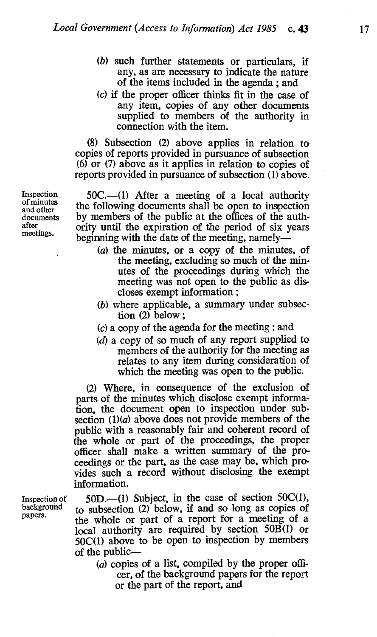- (b) such further statements or particulars, if any, as are necessary to indicate the nature of the items included in the agenda ; and
- (c) if the proper officer thinks fit in the case of any item, copies of any other documents supplied to members of the authority in connection with the item.

(8) Subsection (2) above applies in relation to copies of reports provided in pursuance of subsection (6) or (7) above as it applies in relation to copies of reports provided in pursuance of subsection (1) above.

 $50C.$ —(1) After a meeting of a local authority the following documents shall be open to inspection by members of the public at the offices of the authority until the expiration of the period of six years beginning with the date of the meeting, namely-

- (a) the minutes, or a copy of the minutes, of the meeting, excluding so much of the minutes of the proceedings during which the meeting was not open to the public as discloses exempt information ;
- (b) where applicable, a summary under subsection (2) below ;
- (c) a copy of the agenda for the meeting ; and
- (d) a copy of so much of any report supplied to members of the authority for the meeting as relates to any item during consideration of which the meeting was open to the public.

(2) Where, in consequence of the exclusion of parts of the minutes which disclose exempt information, the document open to inspection under subsection  $(1)(a)$  above does not provide members of the public with a reasonably fair and coherent record of the whole or part of the proceedings, the proper officer shall make a written summary of the proceedings or the part, as the case may be, which provides such a record without disclosing the exempt information.

 $50D$ .—(1) Subject, in the case of section  $50C(1)$ , to subsection (2) below, if and so long as copies of the whole or part of a report for a meeting of a local authority are required by section 50B(1) or 50C(1) above to be open to inspection by members of the public-

 $(a)$  copies of a list, compiled by the proper officer, of the background papers for the report or the part of the report, and

Inspection of minutes and other documents after meetings.

Inspection of background papers.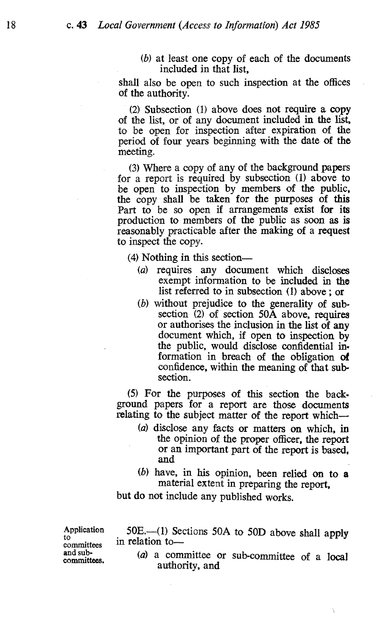(b) at least one copy of each of the documents included in that list,

shall also be open to such inspection at the offices of the authority.

(2) Subsection (1) above does not require a copy of the list, or of any document included in the list, to be open for inspection after expiration of the period of four years beginning with the date of the meeting.

(3) Where a copy of any of the background papers for a report is required by subsection (1) above to be open to inspection by members of the public, the copy shall be taken for the purposes of this Part to be so open if arrangements exist for its production to members of the public as soon as is reasonably practicable after the making of a request to inspect the copy.

(4) Nothing in this section—

- (a) requires any document which discloses exempt information to be included in the list referred to in subsection (1) above ; or
- $(b)$  without prejudice to the generality of subsection (2) of section 50A above, requires or authorises the inclusion in the list of any document which, if open to inspection by the public, would disclose confidential in. formation in breach of the obligation of confidence, within the meaning of that subsection.

(5) For the purposes of this section the back. ground papers for a report are those documents relating to the subject matter of the report which-

- (a) disclose any facts or matters on which, in the opinion of the proper officer, the report or an important part of the report is based, and
- (b) have, in his opinion, been relied on to <sup>a</sup> material extent in preparing the report,

but do not include any published works.

Application 50E.--(1) Sections 50A to 50D above shall apply<br>to in relation to-<br>and sub-

and sub-<br>committees. (a) a committee or sub-committee of a local authority, and

Ì,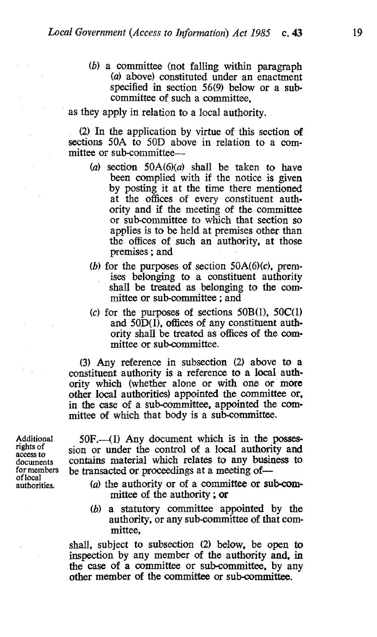(b) a committee (not falling within paragraph (a) above) constituted under an enactment specified in section 56(9) below or a subcommittee of such a committee,

as they apply in relation to a local authority.

(2) In the application by virtue of this section of sections 50A to 50D above in relation to a committee or sub-committee-

- (a) section  $50A(6)(a)$  shall be taken to have been complied with if the notice is given by posting it at the time there mentioned at the offices of every constituent authority and if the meeting of the committee or sub-committee to which that section so applies is to be held at premises other than the offices of such an authority, at those premises ; and
- (b) for the purposes of section  $50A(6)(c)$ , premises belonging to a constituent authority shall be treated as belonging to the committee or sub-committee ; and
- (c) for the purposes of sections  $50B(1)$ ,  $50C(1)$ and  $50\overline{D(1)}$ , offices of any constituent authority shall be treated as offices of the committee or sub-committee.

(3) Any reference in subsection (2) above to a constituent authority is a reference to a local authority which (whether alone or with one or more other local authorities) appointed the committee or, in the case of a sub-committee, appointed the committee of which that body is a sub-committee.

Additional rights of access to documents for members of local authorities.

 $50F$ .-(1) Any document which is in the possession or under the control of a local authority and contains material which relates to any business to be transacted or proceedings at a meeting of-

- (a) the authority or of a committee or sub-committee of the authority ; or
- (b) a statutory committee appointed by the authority, or any sub-committee of that committee,

shall, subject to subsection (2) below, be open to inspection by any member of the authority and, in the case of a committee or sub-committee, by any other member of the committee or sub-committee.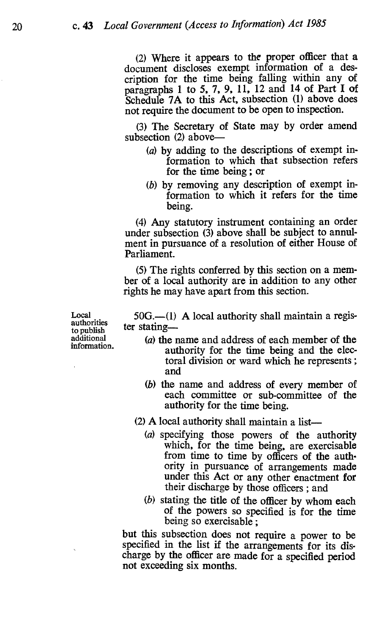(2) Where it appears to the proper officer that a document discloses exempt information of a description for the time being falling within any of paragraphs 1 to 5, 7, 9, 11, 12 and 14 of Part I of Schedule 7A to this Act, subsection (1) above does not require the document to be open to inspection.

(3) The Secretary of State may by order amend subsection  $(2)$  above-

- (a) by adding to the descriptions of exempt information to which that subsection refers for the time being ; or
- (b) by removing any description of exempt information to which it refers for the time being.

(4) Any statutory instrument containing an order under subsection (3) above shall be subject to annulment in pursuance of a resolution of either House of Parliament.

(5) The rights conferred by this section on a member of a local authority are in addition to any other rights he may have apart from this section.

Local authorities to publish additional information.

 $50G$ .—(1) A local authority shall maintain a register stating-

- (a) the name and address of each member of the authority for the time being and the electoral division or ward which he represents ; and
- (b) the name and address of every member of each committee or sub-committee of the authority for the time being.
- (2) A local authority shall maintain a list
	- (a) specifying those powers of the authority which, for the time being, are exercisable from time to time by officers of the authority in pursuance of arrangements made under this Act or any other enactment for their discharge by those officers ; and
	- (b) stating the title of the officer by whom each of the powers so specified is for the time being so exercisable ;

but this subsection does not require a power to be specified in the list if the arrangements for its discharge by the officer are made for a specified period not exceeding six months.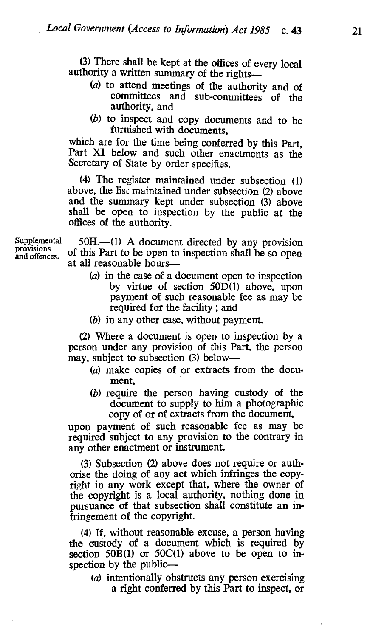(3) There shall be kept at the offices of every local authority a written summary of the rights-

- (a) to attend meetings of the authority and of committees and sub-committees of the authority, and
- (b) to inspect and copy documents and to be furnished with documents,

which are for the time being conferred by this Part, Part XI below and such other enactments as the Secretary of State by order specifies.

(4) The register maintained under subsection (1) above, the list maintained under subsection (2) above and the summary kept under subsection (3) above shall be open to inspection by the public at the offices of the authority.

provisions and offences.

Supplemental 50H.—(1) A document directed by any provision of this Part to be open to inspection shall be so open at all reasonable hours-

- (a) in the case of a document open to inspection by virtue of section 50D(1) above, upon payment of such reasonable fee as may be. required for the facility ; and
- (b) in any other case, without payment.

(2) Where a document is open to inspection by a person under any provision of this Part, the person may, subject to subsection (3) below—

- (a) make copies of or extracts from the document,
- (b) require the person having custody of the document to supply to him a photographic copy of or of extracts from the document,

upon payment of such reasonable fee as may be required subject to any provision to the contrary in any other enactment or instrument.

(3) Subsection (2) above does not require or authorise the doing of any act which infringes the copyright in any work except that, where the owner of the copyright is a local authority, nothing done in pursuance of that subsection shall constitute an infringement of the copyright.

(4) If, without reasonable excuse, a person having the custody of a document which is required by section  $50B(1)$  or  $50C(1)$  above to be open to inspection by the public-

(a) intentionally obstructs any person exercising a right conferred by this Part to inspect, or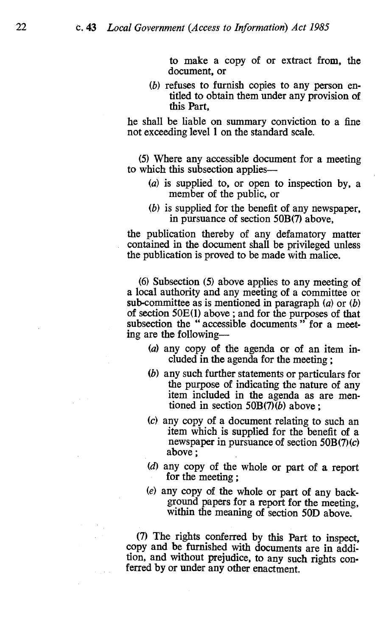to make a copy of or extract from, the document, or

(b) refuses to furnish copies to any person entitled to obtain them under any provision of this Part,

he shall be liable on summary conviction to a fine not exceeding level 1 on the standard scale.

(5) Where any accessible document for a meeting to which this subsection applies-

- (a) is supplied to, or open to inspection by, a member of the public, or
- (b) is supplied for the benefit of any newspaper, in pursuance of section 50B(7) above,

the publication thereby of any defamatory matter contained in the document shall be privileged unless the publication is proved to be made with malice.

(6) Subsection (5) above applies to any meeting of a local authority and any meeting of a committee or sub-committee as is mentioned in paragraph  $(a)$  or  $(b)$ of section 50E(l) above ; and for the purposes of that subsection the "accessible documents" for a meeting are the following-

- (a) any copy of the agenda or of an item included in the agenda for the meeting ;
- (b) any such further statements or particulars for the purpose of indicating the nature of any item included in the agenda as are mentioned in section  $50B(7)(b)$  above :
- (c) any copy of a document relating to such an item which is supplied for the benefit of a newspaper in pursuance of section  $50B(7)(c)$ above ;
- (d) any copy of the whole or part of a report for the meeting ;
- (e) any copy of the whole or part of any backwithin the meaning of section 50D above.

(7) The rights conferred by this Part to inspect, copy and be furnished with documents are in addition, and without prejudice, to any such rights conferred by or under any other enactment.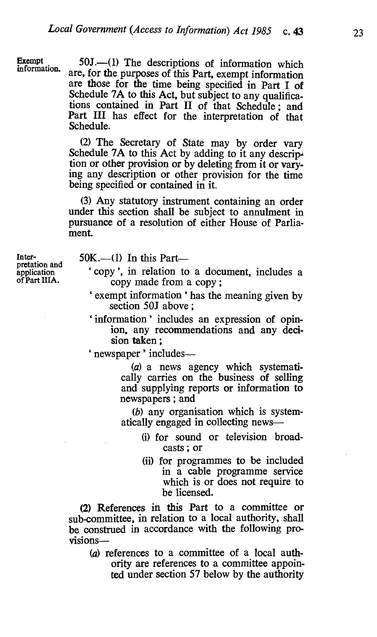Exempt<br>information.

 $50J.$   $-(1)$  The descriptions of information which are, for the purposes of this Part, exempt information are those for the time being specified in Part I of Schedule 7A to this Act, but subject to any qualifications contained in Part II of that Schedule; and Part III has effect for the interpretation of that Schedule.

(2) The Secretary of State may by order vary Schedule 7A to this Act by adding to it any descrip-<br>tion or other provision or by deleting from it or vary-<br>ing any description or other provision for the time being specified or contained in it.

(3) Any statutory instrument containing an order under this section shall be subject to annulment in pursuance of a resolution of either House of Parliament.

Inter-<br>pretation and 50K.—(1) In this Part—<br>application 'copy', in relation to

- $\alpha$  application  $\alpha$  copy, in relation to a document, includes a of Part IIIA. copy made from a copy;
	- ` exempt information' has the meaning given by section 50J above ;
	- 'information' includes an expression of opinion, any recommendations and any decision taken ;

' newspaper ' includes---

(a) a news agency which systematically carries on the business of selling and supplying reports or information to newspapers ; and

(b) any organisation which is systematically engaged in collecting news-

- (i) for sound or television broadcasts ; or
- (ii) for programmes to be included in a cable programme service which is or does not require to be licensed.

(2) References in this Part to a committee or sub-committee, in relation to a local authority, shall be construed in accordance with the following provisions-

(a) references to a committee of a local authority are references to a committee appointed under section 57 below by the authority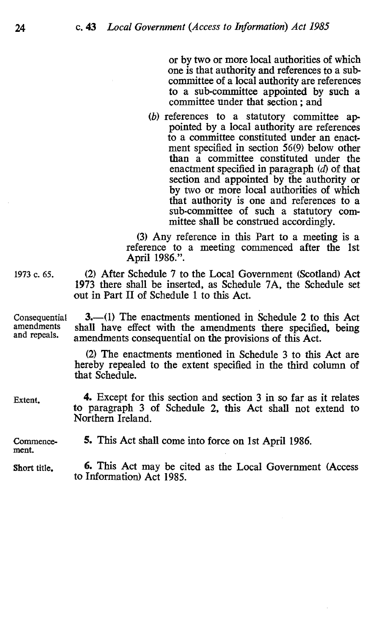or by two or more local authorities of which one is that authority and references to a subcommittee of a local authority are references to a sub-committee appointed by such a committee under that section ; and

(b) references to a statutory committee appointed by a local authority are references to a committee constituted under an enactment specified in section 56(9) below other than a committee constituted under the enactment specified in paragraph (d) of that section and appointed by the authority or by two or more local authorities of which that authority is one and references to a sub-committee of such a statutory committee shall be construed accordingly.

(3) Any reference in this Part to a meeting is a reference to a meeting commenced after the 1st April 1986.".

<sup>1973</sup>c. 65. (2) After Schedule 7 to the Local Government (Scotland) Act 1973 there shall be inserted, as Schedule 7A, the Schedule set out in Part II of Schedule 1 to this Act.

3.—(1) The enactments mentioned in Schedule 2 to this Act shall have effect with the amendments there specified, being amendments consequential on the provisions of this Act.

> (2) The enactments mentioned in Schedule 3 to this Act are hereby repealed to the extent specified in the third column of that Schedule.

Extent. 4. Except for this section and section 3 in so far as it relates to paragraph 3 of Schedule 2, this Act shall not extend to Northern Ireland.

Commencement. 5. This Act shall come into force on 1st April 1986.

Short title.

6. This Act may be cited as the Local Government (Access to Information) Act 1985.

Consequential amendments and repeals.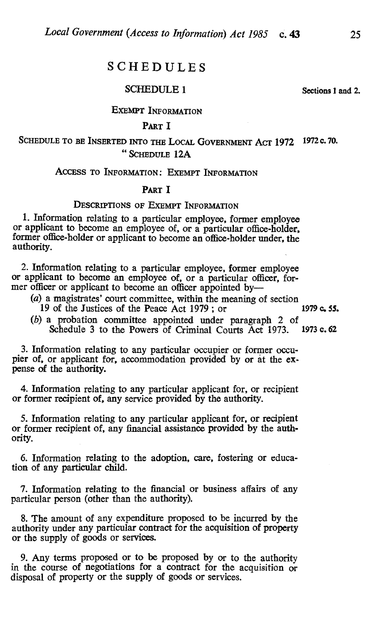# SCHEDULES

#### SCHEDULE <sup>1</sup>

Sections 1 and 2.

#### EXEMPT INFORMATION

### PART I

## SCHEDULE TO BE INSERTED INTO THE LOCAL GOVERNMENT ACT 1972 1972 c. 70. "SCHEDULE 12A

#### ACCESS TO INFORMATION : EXEMPT INFORMATION

### PART I

#### DESCRIPTIONS OF EXEMPT INFORMATION

1. Information relating to a particular employee, former employee or applicant to become an employee of, or a particular office-holder, former office-holder or applicant to become an office-holder under, the authority.

2. Information relating to a particular employee, former employee or applicant to become an employee of, or a particular officer, former officer or applicant to become an officer appointed by-

(a) a magistrates' court committee, within the meaning of section 1979 c. 55.<br>19 of the Justices of the Peace Act 1979 : or 19 of the Justices of the Peace Act 1979; or

(b) a probation committee appointed under paragraph 2 of Schedule 3 to the Powers of Criminal Courts Act 1973 1973 c. 62 Schedule 3 to the Powers of Criminal Courts Act 1973.

3. Information relating to any particular occupier or former occupier of, or applicant for, accommodation provided by or at the expense of the authority.

4. Information relating to any particular applicant for, or recipient or former recipient of, any service provided by the authority.

5. Information relating to any particular applicant for, or recipient or former recipient of, any financial assistance provided by the authority.

6. Information relating to the adoption, care, fostering or education of any particular child.

7. Information relating to the financial or business affairs of any particular person (other than the authority).

8. The amount of any expenditure proposed to be incurred by the authority under any particular contract for the acquisition of property or the supply of goods or services.

9. Any terms proposed or to be proposed by or to the authority in the course of negotiations for a contract for the acquisition or disposal of property or the supply of goods or services.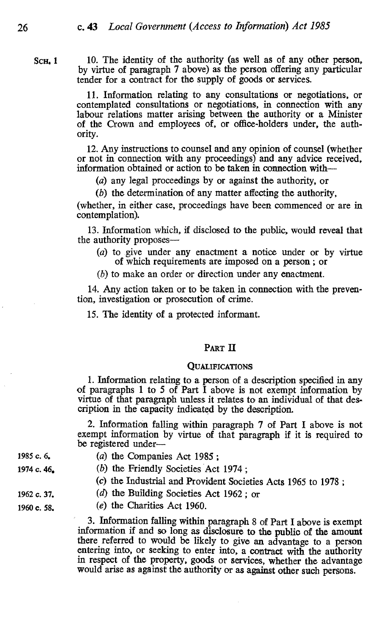SCH.<sub>1</sub> 10. The identity of the authority (as well as of any other person, by virtue of paragraph 7 above) as the person offering any particular tender for a contract for the supply of goods or services.

> 11. Information relating to any consultations or negotiations, or contemplated consultations or negotiations, in connection with any labour relations matter arising between the authority or a Minister of the Crown and employees of, or office-holders under, the authority.

> 12. Any instructions to counsel and any opinion of. counsel (whether or not in connection with any proceedings) and any advice received, information obtained or action to be taken in connection with-

(a) any legal proceedings by or against the authority, or

(b) the determination of any matter affecting the authority,

(whether, in either case, proceedings have been commenced or are in contemplation).

13. Information which, if disclosed to the public, would reveal that the authority proposes-

- (a) to give under any enactment a notice under or by virtue of which requirements are imposed on a person ; or
- (b) to make an order or direction under any enactment.

14. Any action taken or to be taken in connection with the prevention, investigation or prosecution of crime.

15. The identity of a protected informant.

#### PART II

#### **QUALIFICATIONS**

1. Information relating to a person of a description specified in any of paragraphs 1 to 5 of Part I above is not exempt information by virtue of that paragraph unless it relates to an individual of that description in the capacity indicated by the description.

2. Information falling within paragraph 7 of Part I above is not exempt information by virtue of that paragraph if it is required to be registered under-

1974 c. 46.

- 1985 c. 6. (a) the Companies Act 1985 :
	- (b) the Friendly Societies Act 1974;
	- (c) the Industrial and Provident Societies Acts 1965 to 1978 ;
	- (d) the Building Societies Act 1962; or
- 1962 c. 37. 1960 c. 58.
- (e) the Charities Act 1960.

3. Information falling within paragraph 8 of Part I above is exempt information if and so long as disclosure to the public of the amount there referred to would be likely to give an advantage to a person entering into, or seeking to enter into, a contract with the authority in respect of the property, goods or services, whether the advantage would arise as against the authority or as against other such persons.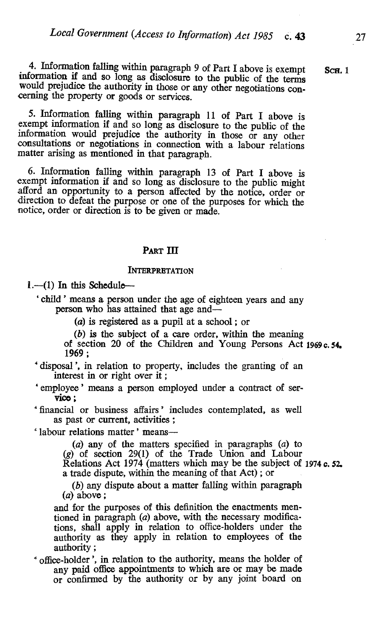4. Information falling within paragraph 9 of Part I above is exempt Scn. 1 information if and so long as disclosure to the public of the terms would prejudice the authority in those or any other negotiations concerning the

5. Information falling within paragraph 11 of Part I above is information would prejudice the authority in those or any other consultations or negotiations in connection with a labour relations matter arising as mentioned in that paragraph.

6. Information falling within paragraph 13 of Part I above is exempt information if and so long as disclosure to the public might afford an opportunity to a person affected by the notice, order or direction to defeat the purpose or one of the purposes for which the notice, order or direction is to be given or made.

#### PART III

#### **INTERPRETATION**

 $1.-(1)$  In this Schedule--

` child ' means a person under the age of eighteen years and any person who has attained that age and-

(a) is registered as a pupil at a school ; or

(b) is the subject of a care order, within the meaning

of section 20 of the Children and Young Persons Act 1969c.54. 1969 ;

disposal', in relation to property, includes the granting of an interest in or right over it;

employee' means a person employed under a contract of servico ;

financial or business affairs' includes contemplated, as well

' labour relations matter' means--

(a) any of the matters specified in paragraphs (a) to (g) of section 29(1) of the Trade Union and Labour Relations Act 1974 (matters which may be the subject of 1974 c. 52 a trade dispute, within the meaning of that Act) ; or

(b) any dispute about a matter falling within paragraph (a) above ;

and for the purposes of this definition the enactments mentioned in paragraph (a) above, with the necessary modifications, shall apply in relation to office-holders under the authority as they apply in relation to employees of the

 $*$  office-holder', in relation to the authority, means the holder of any paid office appointments to which are or may be made or confirmed by the authority or by any joint board on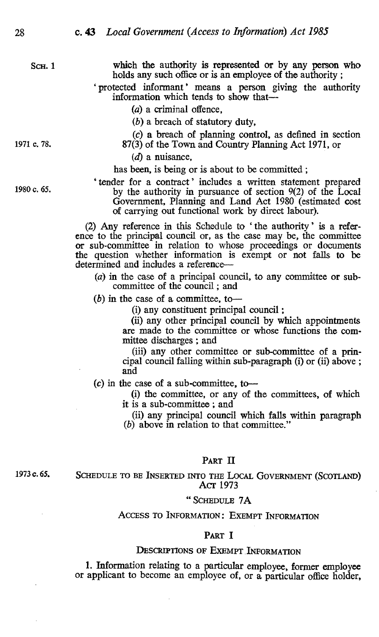Sch. 1 which the authority is represented or by any person who holds any such office or is an employee of the authority ;

> `protected informant' means a person giving the authority information which tends to show that-

> > (a) a criminal offence,

(b) a breach of statutory duty,

(c) a breach of planning control, as defined in section 1971 c. 78.  $87(3)$  of the Town and Country Planning Act 1971, or

 $(d)$  a nuisance,

has been, is being or is about to be committed ;

`tender for a contract' includes a written statement prepared 1980 c. 65. by the authority in pursuance of section 9(2) of the Local Government, Planning and Land Act 1980 (estimated cost of carrying out functional work by direct labour).

> (2) Any reference in this Schedule to ` the authority' is a reference to the principal council or, as the case may be, the committee or sub-committee in relation to whose proceedings or documents the question whether information is exempt or not falls to be determined and includes a reference-

- (a) in the case of a principal council, to any committee or subcommittee of the council ; and
- $(b)$  in the case of a committee, to-

(i) any constituent principal council ;

(ii) any other principal council by which appointments are made to the committee or whose functions the committee discharges ; and

(iii) any other committee or sub-committee of a principal council falling within sub-paragraph (i) or (ii) above ; and

 $(c)$  in the case of a sub-committee, to-

(i) the committee, or any of the committees, of which it is a sub-committee ; and

(ii) any principal council which falls within paragraph (b) above in relation to that committee."

## PART II

1973 c. 65.

SCHEDULE TO BE INSERTED INTO THE LOCAL GOVERNMENT (SCOTLAND)<br>Act 1973

#### " SCHEDULE 7A

#### ACCESS TO INFORMATION : EXEMPT INFORMATION

#### PART I

#### DESCRIPTIONS OF EXEMPT INFORMATION

1. Information relating to a particular employee, former employee or applicant to become an employee of, or a particular office holder,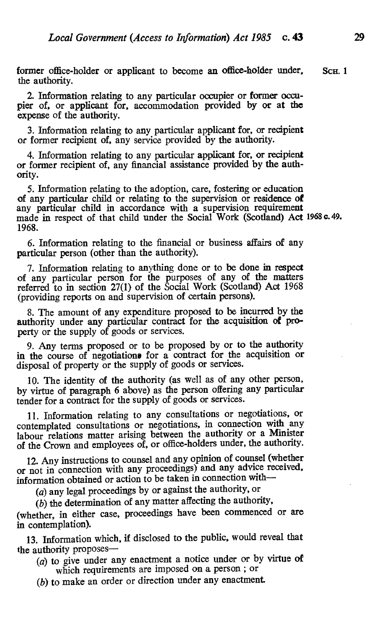former office-holder or applicant to become an office-holder under. Scu. 1 the authority.

2. Information relating to any particular occupier or former occupier of, or applicant for, accommodation provided by or at the expense of the authority.

3. Information relating to any particular applicant for, or recipient or former recipient of, any service provided by the authority.

4. Information relating to any particular applicant for, or recipient or former recipient of, any financial assistance provided by the authority.

Information relating to the adoption, care, fostering or education of any particular child or relating to the supervision or residence of any particular child in accordance with a supervision requirement made in respect of that child under the Social Work (Scotland) Act 1968 c. 49. 1968.

6. Information relating to the financial or business affairs of any particular person (other than the authority).

7. Information relating to anything done or to be done in respect of any particular person for the purposes of any of the matters referred to in section 27(1) of the Social Work (Scotland) Act 1968 (providing reports on and supervision of certain persons).

8. The amount of any expenditure proposed to be incurred by the authority under any particular contract for the acquisition of property or the supply of goods or services.

9. Any terms proposed or to be proposed by or to the authority in the course of negotiations for a contract for the acquisition or disposal of property or the supply of goods or services.

10. The identity of the authority (as well as of any other person, by virtue of paragraph 6 above) as the person offering any particular tender for a contract for the supply of goods or services.

11. Information relating to any consultations or negotiations, or contemplated consultations or negotiations, in connection with any labour relations matter arising between the authority or a Minister of the Crown and employees of, or office-holders under, the authority.

12. Any instructions to counsel and any opinion of counsel (whether or not in connection with any proceedings) and any advice received, information obtained or action to be taken in connection with-

(a) any legal proceedings by or against the authority, or

(b) the determination of any matter affecting the authority,

(whether, in either case, proceedings have been commenced or are in contemplation).

13. Information which, if disclosed to the public, would reveal that the authority proposes-

- $(a)$  to give under any enactment a notice under or by virtue of which requirements are imposed on a person ; or
- (b) to make an order or direction under any enactment.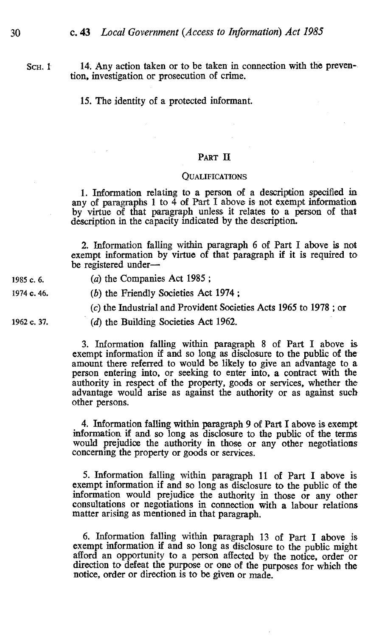$SCH. 1$  14. Any action taken or to be taken in connection with the prevention, investigation or prosecution of crime.

15. The identity of a protected informant.

#### PART II

#### **OUALIFICATIONS**

1. Information relating to a person of a description specified in any of paragraphs 1 to  $\overline{4}$  of Part I above is not exempt information by virtue of that paragraph unless it relates to a person of that description in the capacity indicated by the description.

2. Information falling within paragraph 6 of Part I above is not exempt information by virtue of that paragraph if it is required to be registered under-

1985 c. 6. (a) the Companies Act 1985;

<sup>1974</sup>c. 46. (b) the Friendly Societies Act 1974 ;

(c) the Industrial and Provident Societies Acts 1965 to 1978 ; or

1962 c. 37. (d) the Building Societies Act 1962.

3. Information falling within paragraph 8 of Part I above is exempt information if and so long as disclosure to the public of the amount there referred to would be likely to give an advantage to a person entering into, or seeking to enter into, a contract with the authority in respect of the property, goods or services, whether the advantage would arise as against the authority or as against such other persons.

4. Information falling within paragraph 9 of Part I above is exempt information if and so long as disclosure to the public of the terms would prejudice the authority in those or any other negotiations concerning the property or goods or services.

5. Information falling within paragraph 11 of Part I above is exempt information if and so long as disclosure to the public of the information would prejudice the authority in those or any other consultations or negotiations in connection with a labour relations matter arising as mentioned in that paragraph.

6. Information falling within paragraph 13 of Part I above is afford an opportunity to a person affected by the notice, order or direction to defeat the purpose or one of the purposes for which the notice, order or direction is to be given or made.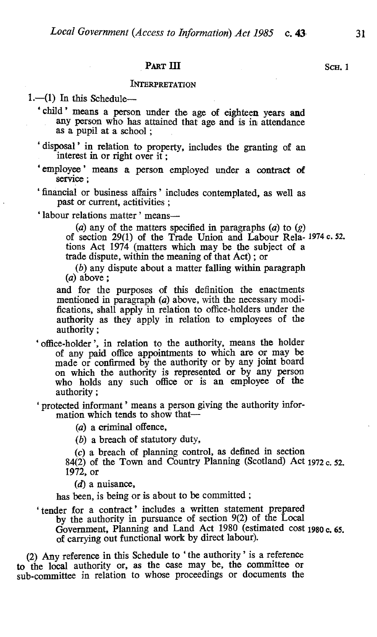# PART III SCH. 1

#### **INTERPRETATION**

 $1.$ --(1) In this Schedule--

'child' means a person under the age of eighteen years and any person who has attained that age and is in attendance as a pupil at a school ;

`disposal' in relation to property, includes the granting of an interest in or right over if;

'employee' means a person employed under a contract of service ;

`financial or business affairs' includes contemplated, as well as past or current, actitivities ;

'labour relations matter' means-

(a) any of the matters specified in paragraphs (a) to  $(g)$ of section 29(1) of the Trade Union and Labour Rela- 1974 c. 52. tions Act 1974 (matters which may be the subject of a trade dispute, within the meaning of that Act) ; or

(b) any dispute about a matter falling within paragraph  $(a)$  above :

and for the purposes of this definition the enactments mentioned in paragraph (a) above, with the necessary modifications, shall apply in relation to office-holders under the authority as they apply in relation to employees of the authority ;

` office-holder ', in relation to the authority, means the holder of any paid office appointments to which are or may be made or confirmed by the authority or by any joint board on which the authority is represented or by any person who holds any such office or is an employee of the authority ;

`protected informant' means a person giving the authority information which tends to show that-

(a) a criminal offence,

(b) a breach of statutory duty,

(c) a breach of planning control, as defined in section

 $84(2)$  of the Town and Country Planning (Scotland) Act 1972 c. 52. 1972, or

 $(d)$  a nuisance,

has been, is being or is about to be committed ;

`tender for a contract' includes a written statement prepared by the authority in pursuance of section 9(2) of the Local Government, Planning and Land Act 1980 (estimated cost 1980 c. 65. of carrying out functional work by direct labour).

(2) Any reference in this Schedule to `the authority' is a reference to the local authority or, as the case may be, the committee or sub-committee in relation to whose proceedings or documents the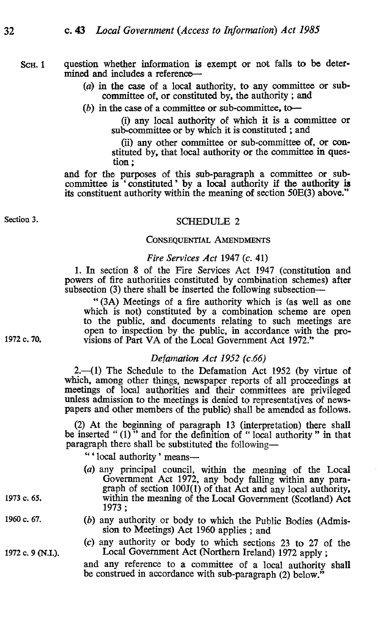#### Sch. 1 question whether information is exempt or not falls to be determined and includes a reference-

- (a) in the case of a local authority, to any committee or subcommittee of, or constituted by, the authority ; and
- (b) in the case of a committee or sub-committee, to---

(i) any local authority of which it is a committee or sub-committee or by which it is constituted ; and

(ii) any other committee or sub-committee of, or constituted by, that local authority or the committee in question ;

and for the purposes of this sub-paragraph a committee or subcommittee is 'constituted' by a local authority if the authority is its constituent authority within the meaning of section 50E(3) above."

# Section 3. SCHEDULE 2

#### CONSEQUENTIAL AMENDMENTS

#### Fire Services Act 1947 (c. 41)

1. In section 8 of the Fire Services Act 1947 (constitution and powers of fire authorities constituted by combination schemes) after subsection (3) there shall be inserted the following subsection-

" (3A) Meetings of a fire authority which is (as well as one which is not) constituted by a combination scheme are open to the public, and documents relating to such meetings are open to inspection by the public, in accordance with the pro-1972 c. 70. visions of Part VA of the Local Government Act 1972."

#### Defamation Act 1952 (c.66)

 $2.-(1)$  The Schedule to the Defamation Act 1952 (by virtue of which, among other things, newspaper reports of all proceedings at meetings of local authorities and their committees are privileged unless admission to the meetings is denied to representatives of newspapers and other members of the public) shall be amended as follows.

(2) At the beginning of paragraph 13 (interpretation) there shall be inserted "(1)" and for the definition of "local authority" in that paragraph there shall be substituted the following-

" ' local authority' means-

- (a) any principal council, within the meaning of the Local Government Act 1972, any body falling within any para-<br>graph of section 100J(1) of that Act and any local authority, graph of section 100J(1) of that Act and any local authority,<br>1973 c. 65. within the meaning of the Local Government (Scotland) Act 1973 ;
- 1960 c. 67. (b) any authority or body to which the Public Bodies (Admission to Meetings) Act 1960 applies; and
- (c) any authority or body to which sections 23 to 27 of the <sup>1972</sup>c. 9 (N.L). Local Government Act (Northern Ireland) 1972 apply ;

and any reference to a committee of a local authority shall be construed in accordance with sub-paragraph (2) below."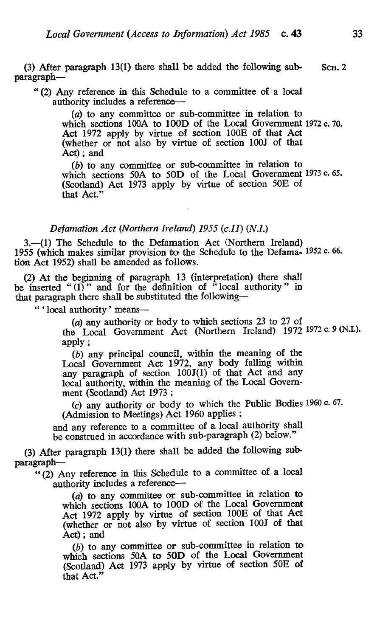(3) After paragraph 13(1) there shall be added the following sub- ScH. 2 paragraph-

(2) Any reference in this Schedule to a committee of a local authority includes a reference-

> (a) to any committee or sub-committee in relation to which sections 100A to 100D of the Local Government 1972 c. 70. Act 1972 apply by virtue of section 100E of that Act (whether or not also by virtue of section 100J of that Act) ; and

> (b) to any committee or sub-committee in relation to which sections 50A to 50D of the Local Government 1973 c. 65. (Scotland) Act 1973 apply by virtue of section 50E of that Act."

#### Defamation Act (Northern Ireland) 1955 (c.11) (N.I.)

3.-(1) The Schedule to the Defamation Act (Northern Ireland) 1955 (which makes similar provision to the Schedule to the Defama- 1952 c. 66. tion Act 1952) shall be amended as follows.

(2) At the beginning of paragraph 13 (interpretation) there shall be inserted " $(1)$ " and for the definition of "local authority" in that paragraph there shall be substituted the following-

"'local authority' means-

(a) any authority or body to which sections 23 to 27 of the Local Government Act (Northern Ireland) 1972 1972 c. 9 (N.I.). apply ;

(b) any principal council, within the meaning of the Local Government Act 1972, any body falling within any paragraph of section  $100J(1)$  of that Act and any local authority, within the meaning of the Local Government (Scotland) Act 1973 ;

(c) any authority or body to which the Public Bodies 1960 c. 67. (Admission to Meetings) Act 1960 applies ;

and any reference to a committee of a local authority shall be construed in accordance with sub-paragraph (2) below."

(3) After paragraph 13(1) there shall be added the following subparagraph-

(2) Any reference in this Schedule to a committee of a local authority includes a reference-

> (a) to any committee or sub-committee in relation to which sections 100A to 100D of the Local Government Act 1972 apply by virtue of section 100E of that Act (whether or not also by virtue of section 100J of that Act) ; and

> (b) to any committee or sub-committee in relation to which sections 50A to 50D of the Local Government (Scotland) Act 1973 apply by virtue of section 50E of that Act."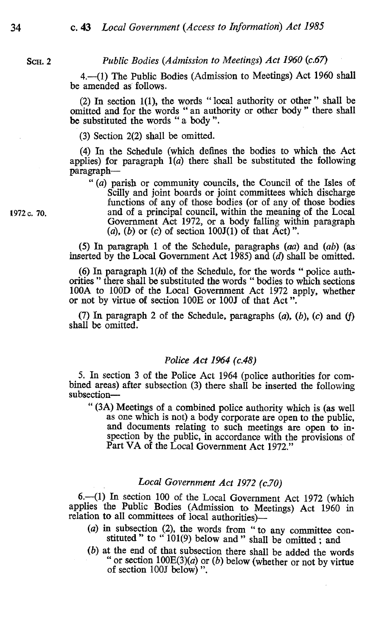#### SCH. 2 Public Bodies (Admission to Meetings) Act 1960 (c.67)

4.-(1) The Public Bodies (Admission to Meetings) Act 1960 shall be amended as follows.

(2) In section 1(1), the words " local authority or other " shall be omitted and for the words " an authority or other body " there shall be substituted the words " a body ".

(3) Section 2(2) shall be omitted.

(4) In the Schedule (which defines the bodies to which the Act applies) for paragraph  $1(a)$  there shall be substituted the following paragraph-

" $(a)$  parish or community councils, the Council of the Isles of Scilly and joint boards or joint committees which discharge functions of any of those bodies (or of any of those bodies <sup>1972</sup>c. 70. and of a principal council, within the meaning of the Local Government Act 1972, or a body falling within paragraph (a), (b) or (c) of section  $100J(1)$  of that Act)".

> (5) In paragraph 1 of the Schedule, paragraphs  $(aa)$  and  $(ab)$  (as inserted by the Local Government Act  $1985$ ) and (d) shall be omitted.

> (6) In paragraph  $1(h)$  of the Schedule, for the words " police authorities " there shall be substituted the words " bodies to which sections 100A to 100D of the Local Government Act 1972 apply, whether or not by virtue of section 100E or 100J of that Act ".

> (7) In paragraph 2 of the Schedule, paragraphs  $(a)$ ,  $(b)$ ,  $(c)$  and  $(f)$ shall be omitted.

### Police Act 1964 (c.48)

5. In section 3 of the Police Act 1964 (police authorities for combined areas) after subsection (3) there shall be inserted the following subsection-

(3A) Meetings of a combined police authority which is (as well and documents relating to such meetings are open to inspection by the public, in accordance with the provisions of Part VA of the Local Government Act 1972."

#### Local Government Act 1972 (c.70)

6.-(1) In section 100 of the Local Government Act 1972 (which applies the Public Bodies (Admission to Meetings) Act 1960 in relation to all committees of local authorities)-

- $(a)$  in subsection  $(2)$ , the words from " to any committee constituted " to " $101(9)$  below and " shall be omitted; and (b) at the end of that subsection there shall be added the words
- " or section  $100E(3)(a)$  or (b) below (whether or not by virtue of section 100J below)".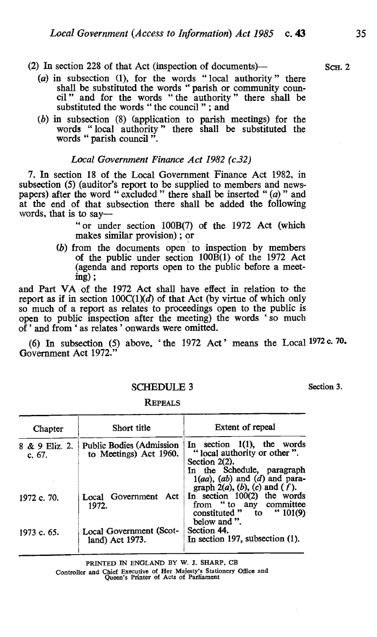- (2) In section 228 of that Act (inspection of documents)— $\sim$  ScH. 2
	- (a) in subsection (1), for the words " local authority " there shall be substituted the words " parish or community council " and for the words "the authority" there shall be substituted the words " the council " ; and
	- (b) in subsection (8) (application to parish meetings) for the words " local authority " there shall be substituted the words " parish council ".

#### Local Government Finance Act 1982 (c.32)

7. In section 18 of the Local Government Finance Act 1982, in subsection (5) (auditor's report to be supplied to members and newspapers) after the word " excluded " there shall be inserted " (a) " and at the end of that subsection there shall be added the following words, that is to say—

> " or under section 100B(7) of the 1972 Act (which makes similar provision) ; or

(b) from the documents open to inspection by members of the public under section 100B(1) of the 1972 Act (agenda and reports open to the public before a meeting) ;

and Part VA of the 1972 Act shall have effect in relation to the report as if in section  $100C(1)(d)$  of that Act (by virtue of which only so much of a report as relates to proceedings open to the public is open to public inspection after the meeting) the words 'so much of ' and from ` as relates ' onwards were omitted.

(6) In subsection (5) above, 'the 1972 Act' means the Local  $1972$  c. 70. Government Act 1972.

#### SCHEDULE 3 Section 3.

| Chapter                    | Short title                                               | Extent of repeal                                                                                                      |
|----------------------------|-----------------------------------------------------------|-----------------------------------------------------------------------------------------------------------------------|
| 8 & 9 Eliz. 2.<br>c. $67.$ | <b>Public Bodies (Admission</b><br>to Meetings) Act 1960. | In section $1(1)$ , the words<br>"local authority or other".<br>Section $2(2)$ .<br>In the Schedule, paragraph        |
|                            |                                                           | $1(aa), (ab)$ and $(d)$ and para-<br>graph $2(a)$ , (b), (c) and (f).                                                 |
| 1972 c. 70.                | Local Government Act<br>1972.                             | In section $100(2)$ the words<br>from " to any committee<br>constituted $\degree$ to $\degree$ 101(9)<br>below and ". |
| 1973 c. 65.                | Local Government (Scot-<br>land) Act 1973.                | Section 44.<br>In section 197, subsection $(1)$ .                                                                     |

#### **REPEALS**

PRINTED IN ENGLAND BY W. J. SHARP, CB

Controller and Chief Executive of Her Majesty's Stationery Office and Queen's Printer of Acts of Parliament